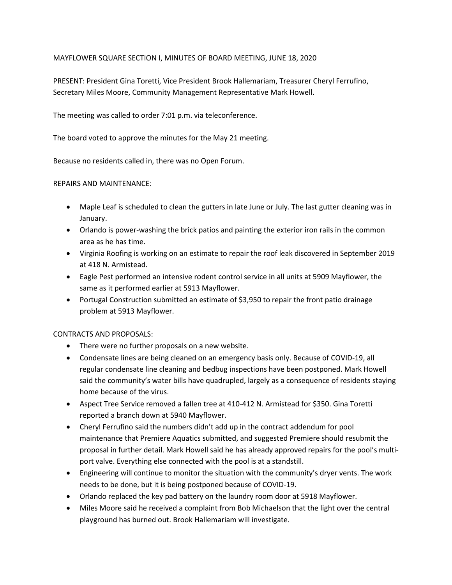## MAYFLOWER SQUARE SECTION I, MINUTES OF BOARD MEETING, JUNE 18, 2020

PRESENT: President Gina Toretti, Vice President Brook Hallemariam, Treasurer Cheryl Ferrufino, Secretary Miles Moore, Community Management Representative Mark Howell.

The meeting was called to order 7:01 p.m. via teleconference.

The board voted to approve the minutes for the May 21 meeting.

Because no residents called in, there was no Open Forum.

## REPAIRS AND MAINTENANCE:

- Maple Leaf is scheduled to clean the gutters in late June or July. The last gutter cleaning was in January.
- Orlando is power-washing the brick patios and painting the exterior iron rails in the common area as he has time.
- Virginia Roofing is working on an estimate to repair the roof leak discovered in September 2019 at 418 N. Armistead.
- Eagle Pest performed an intensive rodent control service in all units at 5909 Mayflower, the same as it performed earlier at 5913 Mayflower.
- Portugal Construction submitted an estimate of \$3,950 to repair the front patio drainage problem at 5913 Mayflower.

## CONTRACTS AND PROPOSALS:

- There were no further proposals on a new website.
- Condensate lines are being cleaned on an emergency basis only. Because of COVID-19, all regular condensate line cleaning and bedbug inspections have been postponed. Mark Howell said the community's water bills have quadrupled, largely as a consequence of residents staying home because of the virus.
- Aspect Tree Service removed a fallen tree at 410-412 N. Armistead for \$350. Gina Toretti reported a branch down at 5940 Mayflower.
- Cheryl Ferrufino said the numbers didn't add up in the contract addendum for pool maintenance that Premiere Aquatics submitted, and suggested Premiere should resubmit the proposal in further detail. Mark Howell said he has already approved repairs for the pool's multiport valve. Everything else connected with the pool is at a standstill.
- Engineering will continue to monitor the situation with the community's dryer vents. The work needs to be done, but it is being postponed because of COVID-19.
- Orlando replaced the key pad battery on the laundry room door at 5918 Mayflower.
- Miles Moore said he received a complaint from Bob Michaelson that the light over the central playground has burned out. Brook Hallemariam will investigate.